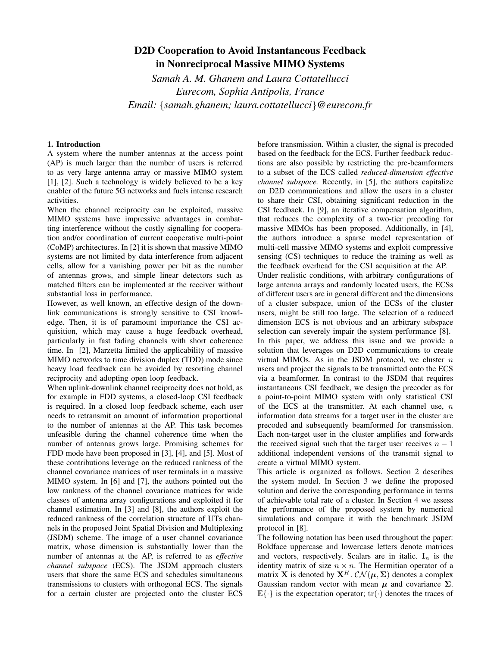# D2D Cooperation to Avoid Instantaneous Feedback in Nonreciprocal Massive MIMO Systems

*Samah A. M. Ghanem and Laura Cottatellucci Eurecom, Sophia Antipolis, France Email: {samah.ghanem; laura.cottatellucci}@eurecom.fr*

## 1. Introduction

A system where the number antennas at the access point (AP) is much larger than the number of users is referred to as very large antenna array or massive MIMO system [1], [2]. Such a technology is widely believed to be a key enabler of the future 5G networks and fuels intense research activities.

When the channel reciprocity can be exploited, massive MIMO systems have impressive advantages in combatting interference without the costly signalling for cooperation and/or coordination of current cooperative multi-point (CoMP) architectures. In [2] it is shown that massive MIMO systems are not limited by data interference from adjacent cells, allow for a vanishing power per bit as the number of antennas grows, and simple linear detectors such as matched filters can be implemented at the receiver without substantial loss in performance.

However, as well known, an effective design of the downlink communications is strongly sensitive to CSI knowledge. Then, it is of paramount importance the CSI acquisition, which may cause a huge feedback overhead, particularly in fast fading channels with short coherence time. In [2], Marzetta limited the applicability of massive MIMO networks to time division duplex (TDD) mode since heavy load feedback can be avoided by resorting channel reciprocity and adopting open loop feedback.

When uplink-downlink channel reciprocity does not hold, as for example in FDD systems, a closed-loop CSI feedback is required. In a closed loop feedback scheme, each user needs to retransmit an amount of information proportional to the number of antennas at the AP. This task becomes unfeasible during the channel coherence time when the number of antennas grows large. Promising schemes for FDD mode have been proposed in [3], [4], and [5]. Most of these contributions leverage on the reduced rankness of the channel covariance matrices of user terminals in a massive MIMO system. In [6] and [7], the authors pointed out the low rankness of the channel covariance matrices for wide classes of antenna array configurations and exploited it for channel estimation. In [3] and [8], the authors exploit the reduced rankness of the correlation structure of UTs channels in the proposed Joint Spatial Division and Multiplexing (JSDM) scheme. The image of a user channel covariance matrix, whose dimension is substantially lower than the number of antennas at the AP, is referred to as *effective channel subspace* (ECS). The JSDM approach clusters users that share the same ECS and schedules simultaneous transmissions to clusters with orthogonal ECS. The signals for a certain cluster are projected onto the cluster ECS

before transmission. Within a cluster, the signal is precoded based on the feedback for the ECS. Further feedback reductions are also possible by restricting the pre-beamformers to a subset of the ECS called *reduced-dimension effective channel subspace.* Recently, in [5], the authors capitalize on D2D communications and allow the users in a cluster to share their CSI, obtaining significant reduction in the CSI feedback. In [9], an iterative compensation algorithm, that reduces the complexity of a two-tier precoding for massive MIMOs has been proposed. Additionally, in [4], the authors introduce a sparse model representation of multi-cell massive MIMO systems and exploit compressive sensing (CS) techniques to reduce the training as well as the feedback overhead for the CSI acquisition at the AP. Under realistic conditions, with arbitrary configurations of large antenna arrays and randomly located users, the ECSs of different users are in general different and the dimensions of a cluster subspace, union of the ECSs of the cluster users, might be still too large. The selection of a reduced dimension ECS is not obvious and an arbitrary subspace selection can severely impair the system performance [8]. In this paper, we address this issue and we provide a solution that leverages on D2D communications to create virtual MIMOs. As in the JSDM protocol, we cluster *n* users and project the signals to be transmitted onto the ECS via a beamformer. In contrast to the JSDM that requires instantaneous CSI feedback, we design the precoder as for a point-to-point MIMO system with only statistical CSI of the ECS at the transmitter. At each channel use, *n* information data streams for a target user in the cluster are precoded and subsequently beamformed for transmission. Each non-target user in the cluster amplifies and forwards the received signal such that the target user receives  $n-1$ additional independent versions of the transmit signal to create a virtual MIMO system.

This article is organized as follows. Section 2 describes the system model. In Section 3 we define the proposed solution and derive the corresponding performance in terms of achievable total rate of a cluster. In Section 4 we assess the performance of the proposed system by numerical simulations and compare it with the benchmark JSDM protocol in [8].

The following notation has been used throughout the paper: Boldface uppercase and lowercase letters denote matrices and vectors, respectively. Scalars are in italic.  $I_n$  is the identity matrix of size  $n \times n$ . The Hermitian operator of a matrix **X** is denoted by  $X^H$ *.*  $CN(\mu, \Sigma)$  denotes a complex Gaussian random vector with mean  $\mu$  and covariance **Σ**.  $\mathbb{E}\{\cdot\}$  is the expectation operator;  $\text{tr}(\cdot)$  denotes the traces of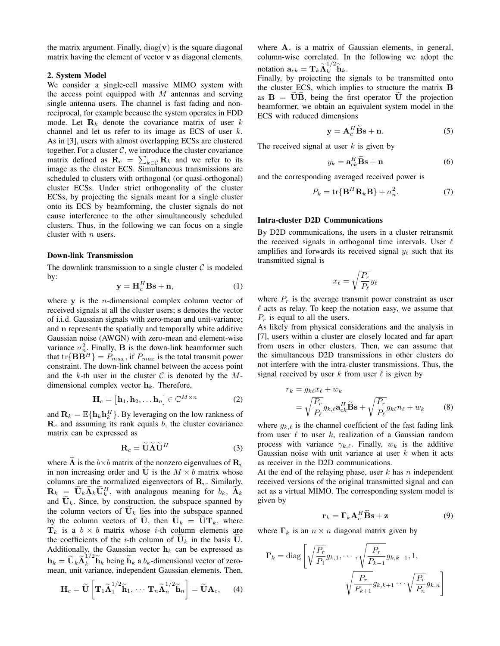the matrix argument. Finally,  $diag(v)$  is the square diagonal matrix having the element of vector **v** as diagonal elements.

#### 2. System Model

We consider a single-cell massive MIMO system with the access point equipped with *M* antennas and serving single antenna users. The channel is fast fading and nonreciprocal, for example because the system operates in FDD mode. Let  $\mathbf{R}_k$  denote the covariance matrix of user  $k$ channel and let us refer to its image as ECS of user *k.* As in [3], users with almost overlapping ECSs are clustered together. For a cluster  $C$ , we introduce the cluster covariance matrix defined as  $\mathbf{R}_c = \sum_{k \in C} \mathbf{R}_k$  and we refer to its image as the cluster ECS. Simultaneous transmissions are scheduled to clusters with orthogonal (or quasi-orthogonal) cluster ECSs. Under strict orthogonality of the cluster ECSs, by projecting the signals meant for a single cluster onto its ECS by beamforming, the cluster signals do not cause interference to the other simultaneously scheduled clusters. Thus, in the following we can focus on a single cluster with *n* users.

## Down-link Transmission

The downlink transmission to a single cluster  $C$  is modeled by:

$$
\mathbf{y} = \mathbf{H}_c^H \mathbf{B} \mathbf{s} + \mathbf{n},\tag{1}
$$

where **y** is the *n*-dimensional complex column vector of received signals at all the cluster users; **s** denotes the vector of i.i.d. Gaussian signals with zero-mean and unit-variance; and **n** represents the spatially and temporally white additive Gaussian noise (AWGN) with zero-mean and element-wise variance  $\sigma_{n}^2$ . Finally, **B** is the down-link beamformer such that tr $\{ \mathbf{B} \mathbf{B}^H \} = P_{max}$ , if  $P_{max}$  is the total transmit power constraint. The down-link channel between the access point and the *k*-th user in the cluster *C* is denoted by the *M*dimensional complex vector **h***k.* Therefore,

$$
\mathbf{H}_c = [\mathbf{h}_1, \mathbf{h}_2, \dots \mathbf{h}_n] \in \mathbb{C}^{M \times n}
$$
 (2)

and  $\mathbf{R}_k = \mathbb{E}\{\mathbf{h}_k \mathbf{h}_k^H\}$ . By leveraging on the low rankness of **R***<sup>c</sup>* and assuming its rank equals *b,* the cluster covariance matrix can be expressed as

$$
\mathbf{R}_c = \widetilde{\mathbf{U}} \widetilde{\mathbf{\Lambda}} \widetilde{\mathbf{U}}^H
$$
 (3)

where  $\Lambda$  is the  $b \times b$  matrix of the nonzero eigenvalues of  $\mathbf{R}_c$ in non increasing order and  $\widetilde{\mathbf{U}}$  is the  $M \times b$  matrix whose columns are the normalized eigenvectors of **R***c.* Similarly,  $\mathbf{R}_k = \widetilde{\mathbf{U}}_k \widetilde{\mathbf{\Lambda}}_k \widetilde{\mathbf{U}}_k^H$ , with analogous meaning for  $b_k$ ,  $\widetilde{\mathbf{\Lambda}}_k$ and  $U_k$ . Since, by construction, the subspace spanned by the column vectors of  $\mathbf{U}_k$  lies into the subspace spanned by the column vectors of **U**, then  $\mathbf{U}_k = \mathbf{UT}_k$ , where  $\mathbf{T}_k$  is a  $b \times b$  matrix whose *i*-th column elements are the coefficients of the *i*-th column of  $U_k$  in the basis U. Additionally, the Gaussian vector  $h_k$  can be expressed as  $\mathbf{h}_k = \widetilde{\mathbf{U}}_k \widetilde{\mathbf{\Lambda}}_k^{1/2} \widetilde{\mathbf{h}}_k$  being  $\widetilde{\mathbf{h}}_k$  a  $b_k$ -dimensional vector of zeromean, unit variance, independent Gaussian elements. Then,

$$
\mathbf{H}_c = \widetilde{\mathbf{U}} \left[ \mathbf{T}_1 \widetilde{\mathbf{\Lambda}}_1^{1/2} \widetilde{\mathbf{h}}_1, \cdots \mathbf{T}_n \widetilde{\mathbf{\Lambda}}_n^{1/2} \widetilde{\mathbf{h}}_n \right] = \widetilde{\mathbf{U}} \mathbf{A}_c, \qquad (4)
$$

where  $A_c$  is a matrix of Gaussian elements, in general, column-wise correlated. In the following we adopt the notation  $\mathbf{a}_{ck} = \mathbf{T}_k \widetilde{\mathbf{\Lambda}}_k^{1/2} \widetilde{\mathbf{h}}_k$ .

Finally, by projecting the signals to be transmitted onto the cluster ECS, which implies to structure the matrix **B** as  $B = UB$ , being the first operator U the projection beamformer, we obtain an equivalent system model in the ECS with reduced dimensions

$$
y = A_c^H \widetilde{B} s + n. \tag{5}
$$

The received signal at user *k* is given by

$$
y_k = \mathbf{a}_{ck}^H \widetilde{\mathbf{B}} \mathbf{s} + \mathbf{n} \tag{6}
$$

and the corresponding averaged received power is

$$
P_k = \text{tr}\{\mathbf{B}^H \mathbf{R}_k \mathbf{B}\} + \sigma_n^2. \tag{7}
$$

#### Intra-cluster D2D Communications

By D2D communications, the users in a cluster retransmit the received signals in orthogonal time intervals. User *ℓ* amplifies and forwards its received signal  $y_\ell$  such that its transmitted signal is

$$
x_\ell = \sqrt{\frac{P_r}{P_\ell}} y_\ell
$$

where  $P_r$  is the average transmit power constraint as user *ℓ* acts as relay. To keep the notation easy, we assume that *P<sup>r</sup>* is equal to all the users.

As likely from physical considerations and the analysis in [7], users within a cluster are closely located and far apart from users in other clusters. Then, we can assume that the simultaneous D2D transmissions in other clusters do not interfere with the intra-cluster transmissions. Thus, the signal received by user  $k$  from user  $\ell$  is given by

$$
r_k = g_{k\ell} x_{\ell} + w_k
$$
  
=  $\sqrt{\frac{P_r}{P_\ell}} g_{k,\ell} \mathbf{a}_{ck}^H \widetilde{\mathbf{B}} \mathbf{s} + \sqrt{\frac{P_r}{P_\ell}} g_{k\ell} n_\ell + w_k$  (8)

where  $g_{k,\ell}$  is the channel coefficient of the fast fading link from user *ℓ* to user *k*, realization of a Gaussian random process with variance  $\gamma_{k,\ell}$ . Finally,  $w_k$  is the additive Gaussian noise with unit variance at user *k* when it acts as receiver in the D2D communications.

At the end of the relaying phase, user *k* has *n* independent received versions of the original transmitted signal and can act as a virtual MIMO. The corresponding system model is given by

$$
\mathbf{r}_k = \mathbf{\Gamma}_k \mathbf{A}_c^H \widetilde{\mathbf{B}} \mathbf{s} + \mathbf{z}
$$
 (9)

where  $\Gamma_k$  is an  $n \times n$  diagonal matrix given by

$$
\Gamma_k = \text{diag}\left[\sqrt{\frac{P_r}{P_1}}g_{k,1}, \dots, \sqrt{\frac{P_r}{P_{k-1}}}g_{k,k-1}, 1, \dots, \sqrt{\frac{P_r}{P_{k+1}}}g_{k,k+1} \dots, \sqrt{\frac{P_r}{P_n}}g_{k,n}\right]
$$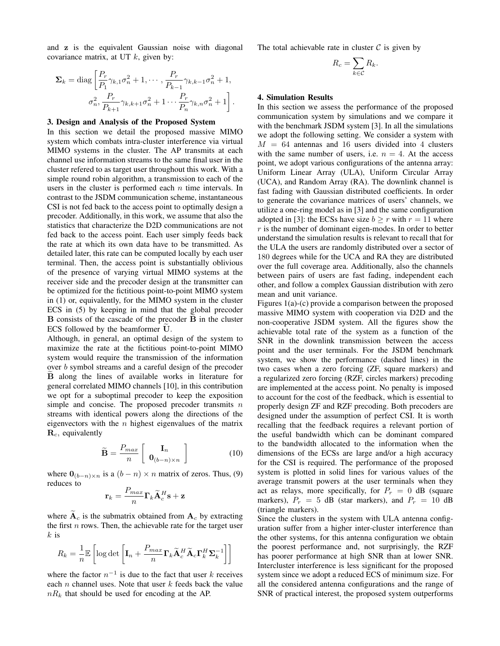and **z** is the equivalent Gaussian noise with diagonal covariance matrix, at UT *k*, given by:

$$
\Sigma_{k} = \text{diag}\left[\frac{P_{r}}{P_{1}}\gamma_{k,1}\sigma_{n}^{2} + 1, \cdots, \frac{P_{r}}{P_{k-1}}\gamma_{k,k-1}\sigma_{n}^{2} + 1, \sigma_{n}^{2}\right]
$$

$$
\sigma_{n}^{2}, \frac{P_{r}}{P_{k+1}}\gamma_{k,k+1}\sigma_{n}^{2} + 1\cdots\frac{P_{r}}{P_{n}}\gamma_{k,n}\sigma_{n}^{2} + 1\right].
$$

#### 3. Design and Analysis of the Proposed System

In this section we detail the proposed massive MIMO system which combats intra-cluster interference via virtual MIMO systems in the cluster. The AP transmits at each channel use information streams to the same final user in the cluster refered to as target user throughout this work. With a simple round robin algorithm, a transmission to each of the users in the cluster is performed each *n* time intervals. In contrast to the JSDM communication scheme, instantaneous CSI is not fed back to the access point to optimally design a precoder. Additionally, in this work, we assume that also the statistics that characterize the D2D communications are not fed back to the access point. Each user simply feeds back the rate at which its own data have to be transmitted. As detailed later, this rate can be computed locally by each user terminal. Then, the access point is substantially oblivious of the presence of varying virtual MIMO systems at the receiver side and the precoder design at the transmitter can be optimized for the fictitious point-to-point MIMO system in (1) or, equivalently, for the MIMO system in the cluster ECS in (5) by keeping in mind that the global precoder **B** consists of the cascade of the precoder **B** in the cluster ECS followed by the beamformer **U**.

Although, in general, an optimal design of the system to maximize the rate at the fictitious point-to-point MIMO system would require the transmission of the information over *b* symbol streams and a careful design of the precoder **B** along the lines of available works in literature for general correlated MIMO channels [10], in this contribution we opt for a suboptimal precoder to keep the exposition simple and concise. The proposed precoder transmits *n* streams with identical powers along the directions of the eigenvectors with the *n* highest eigenvalues of the matrix **R***c,* equivalently

$$
\widetilde{\mathbf{B}} = \frac{P_{max}}{n} \left[ \begin{array}{c} \mathbf{I}_n \\ \mathbf{0}_{(b-n)\times n} \end{array} \right] \tag{10}
$$

where  $\mathbf{0}_{(b-n)\times n}$  is a  $(b-n)\times n$  matrix of zeros. Thus, (9) reduces to

$$
\mathbf{r}_k = \frac{P_{max}}{n} \mathbf{\Gamma}_k \widetilde{\mathbf{A}}_c^H \mathbf{s} + \mathbf{z}
$$

where  $A_c$  is the submatrix obtained from  $A_c$  by extracting the first *n* rows. Then, the achievable rate for the target user *k* is

$$
R_k = \frac{1}{n} \mathbb{E} \left[ \log \det \left[ \mathbf{I}_n + \frac{P_{max}}{n} \mathbf{\Gamma}_k \widetilde{\mathbf{A}}_c^H \widetilde{\mathbf{A}}_c \mathbf{\Gamma}_k^H \mathbf{\Sigma}_k^{-1} \right] \right]
$$

where the factor  $n^{-1}$  is due to the fact that user  $k$  receives each *n* channel uses. Note that user *k* feeds back the value *nR<sup>k</sup>* that should be used for encoding at the AP.

The total achievable rate in cluster  $C$  is given by

$$
R_c = \sum_{k \in \mathcal{C}} R_k.
$$

## 4. Simulation Results

In this section we assess the performance of the proposed communication system by simulations and we compare it with the benchmark JSDM system [3]. In all the simulations we adopt the following setting. We consider a system with  $M = 64$  antennas and 16 users divided into 4 clusters with the same number of users, i.e.  $n = 4$ . At the access point, we adopt various configurations of the antenna array: Uniform Linear Array (ULA), Uniform Circular Array (UCA), and Random Array (RA). The downlink channel is fast fading with Gaussian distributed coefficients. In order to generate the covariance matrices of users' channels, we utilize a one-ring model as in [3] and the same configuration adopted in [3]: the ECSs have size  $b \ge r$  with  $r = 11$  where *r* is the number of dominant eigen-modes. In order to better understand the simulation results is relevant to recall that for the ULA the users are randomly distributed over a sector of 180 degrees while for the UCA and RA they are distributed over the full coverage area. Additionally, also the channels between pairs of users are fast fading, independent each other, and follow a complex Gaussian distribution with zero mean and unit variance.

Figures 1(a)-(c) provide a comparison between the proposed massive MIMO system with cooperation via D2D and the non-cooperative JSDM system. All the figures show the achievable total rate of the system as a function of the SNR in the downlink transmission between the access point and the user terminals. For the JSDM benchmark system, we show the performance (dashed lines) in the two cases when a zero forcing (ZF, square markers) and a regularized zero forcing (RZF, circles markers) precoding are implemented at the access point. No penalty is imposed to account for the cost of the feedback, which is essential to properly design ZF and RZF precoding. Both precoders are designed under the assumption of perfect CSI. It is worth recalling that the feedback requires a relevant portion of the useful bandwidth which can be dominant compared to the bandwidth allocated to the information when the dimensions of the ECSs are large and/or a high accuracy for the CSI is required. The performance of the proposed system is plotted in solid lines for various values of the average transmit powers at the user terminals when they act as relays, more specifically, for  $P_r = 0$  dB (square markers),  $P_r = 5$  dB (star markers), and  $P_r = 10$  dB (triangle markers).

Since the clusters in the system with ULA antenna configuration suffer from a higher inter-cluster interference than the other systems, for this antenna configuration we obtain the poorest performance and, not surprisingly, the RZF has poorer performance at high SNR than at lower SNR. Intercluster interference is less significant for the proposed system since we adopt a reduced ECS of minimum size. For all the considered antenna configurations and the range of SNR of practical interest, the proposed system outperforms